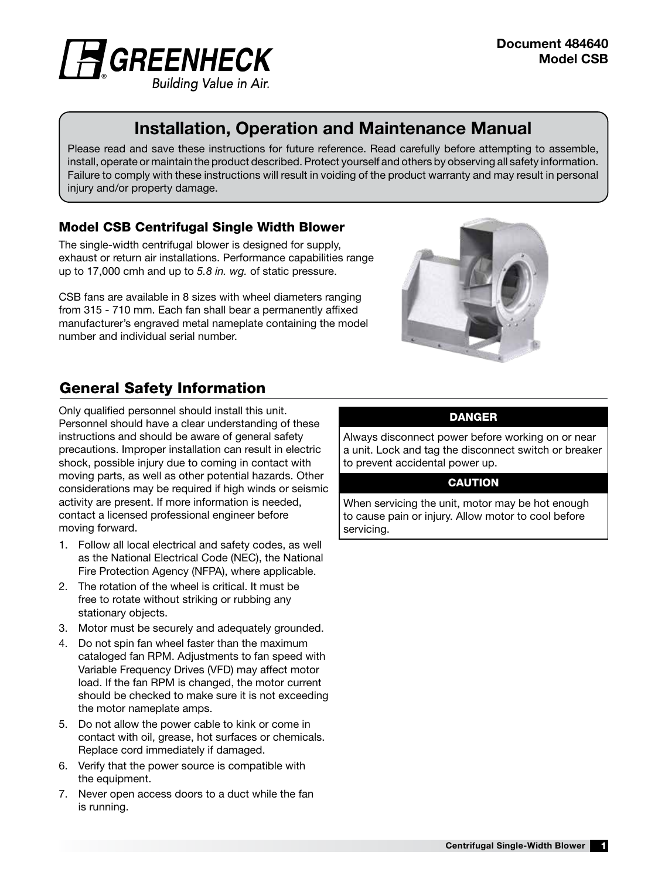

# Installation, Operation and Maintenance Manual

Please read and save these instructions for future reference. Read carefully before attempting to assemble, install, operate or maintain the product described. Protect yourself and others by observing all safety information. Failure to comply with these instructions will result in voiding of the product warranty and may result in personal injury and/or property damage.

## Model CSB Centrifugal Single Width Blower

The single-width centrifugal blower is designed for supply, exhaust or return air installations. Performance capabilities range up to 17,000 cmh and up to *5.8 in. wg.* of static pressure.

CSB fans are available in 8 sizes with wheel diameters ranging from 315 - 710 mm. Each fan shall bear a permanently affixed manufacturer's engraved metal nameplate containing the model number and individual serial number.



# General Safety Information

Only qualified personnel should install this unit. Personnel should have a clear understanding of these instructions and should be aware of general safety precautions. Improper installation can result in electric shock, possible injury due to coming in contact with moving parts, as well as other potential hazards. Other considerations may be required if high winds or seismic activity are present. If more information is needed, contact a licensed professional engineer before moving forward.

- 1. Follow all local electrical and safety codes, as well as the National Electrical Code (NEC), the National Fire Protection Agency (NFPA), where applicable.
- 2. The rotation of the wheel is critical. It must be free to rotate without striking or rubbing any stationary objects.
- 3. Motor must be securely and adequately grounded.
- 4. Do not spin fan wheel faster than the maximum cataloged fan RPM. Adjustments to fan speed with Variable Frequency Drives (VFD) may affect motor load. If the fan RPM is changed, the motor current should be checked to make sure it is not exceeding the motor nameplate amps.
- 5. Do not allow the power cable to kink or come in contact with oil, grease, hot surfaces or chemicals. Replace cord immediately if damaged.
- 6. Verify that the power source is compatible with the equipment.
- 7. Never open access doors to a duct while the fan is running.

#### DANGER

Always disconnect power before working on or near a unit. Lock and tag the disconnect switch or breaker to prevent accidental power up.

#### **CAUTION**

When servicing the unit, motor may be hot enough to cause pain or injury. Allow motor to cool before servicing.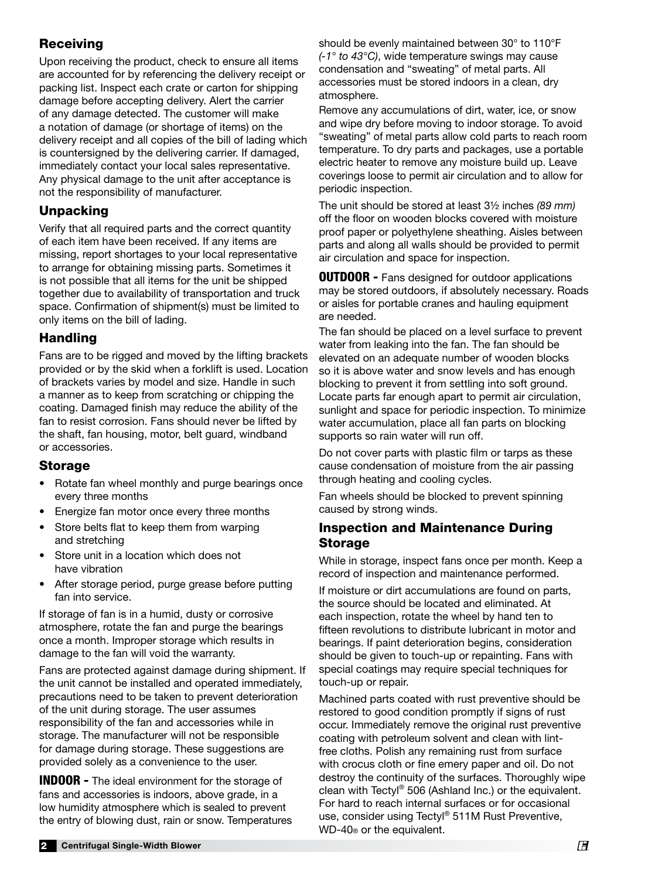## **Receiving**

Upon receiving the product, check to ensure all items are accounted for by referencing the delivery receipt or packing list. Inspect each crate or carton for shipping damage before accepting delivery. Alert the carrier of any damage detected. The customer will make a notation of damage (or shortage of items) on the delivery receipt and all copies of the bill of lading which is countersigned by the delivering carrier. If damaged, immediately contact your local sales representative. Any physical damage to the unit after acceptance is not the responsibility of manufacturer.

## Unpacking

Verify that all required parts and the correct quantity of each item have been received. If any items are missing, report shortages to your local representative to arrange for obtaining missing parts. Sometimes it is not possible that all items for the unit be shipped together due to availability of transportation and truck space. Confirmation of shipment(s) must be limited to only items on the bill of lading.

## Handling

Fans are to be rigged and moved by the lifting brackets provided or by the skid when a forklift is used. Location of brackets varies by model and size. Handle in such a manner as to keep from scratching or chipping the coating. Damaged finish may reduce the ability of the fan to resist corrosion. Fans should never be lifted by the shaft, fan housing, motor, belt guard, windband or accessories.

## Storage

- Rotate fan wheel monthly and purge bearings once every three months
- Energize fan motor once every three months
- Store belts flat to keep them from warping and stretching
- Store unit in a location which does not have vibration
- After storage period, purge grease before putting fan into service.

If storage of fan is in a humid, dusty or corrosive atmosphere, rotate the fan and purge the bearings once a month. Improper storage which results in damage to the fan will void the warranty.

Fans are protected against damage during shipment. If the unit cannot be installed and operated immediately, precautions need to be taken to prevent deterioration of the unit during storage. The user assumes responsibility of the fan and accessories while in storage. The manufacturer will not be responsible for damage during storage. These suggestions are provided solely as a convenience to the user.

**INDOOR -** The ideal environment for the storage of fans and accessories is indoors, above grade, in a low humidity atmosphere which is sealed to prevent the entry of blowing dust, rain or snow. Temperatures should be evenly maintained between 30° to 110°F *(-1° to 43°C)*, wide temperature swings may cause condensation and "sweating" of metal parts. All accessories must be stored indoors in a clean, dry atmosphere.

Remove any accumulations of dirt, water, ice, or snow and wipe dry before moving to indoor storage. To avoid "sweating" of metal parts allow cold parts to reach room temperature. To dry parts and packages, use a portable electric heater to remove any moisture build up. Leave coverings loose to permit air circulation and to allow for periodic inspection.

The unit should be stored at least 3½ inches *(89 mm)* off the floor on wooden blocks covered with moisture proof paper or polyethylene sheathing. Aisles between parts and along all walls should be provided to permit air circulation and space for inspection.

**OUTDOOR -** Fans designed for outdoor applications may be stored outdoors, if absolutely necessary. Roads or aisles for portable cranes and hauling equipment are needed.

The fan should be placed on a level surface to prevent water from leaking into the fan. The fan should be elevated on an adequate number of wooden blocks so it is above water and snow levels and has enough blocking to prevent it from settling into soft ground. Locate parts far enough apart to permit air circulation, sunlight and space for periodic inspection. To minimize water accumulation, place all fan parts on blocking supports so rain water will run off.

Do not cover parts with plastic film or tarps as these cause condensation of moisture from the air passing through heating and cooling cycles.

Fan wheels should be blocked to prevent spinning caused by strong winds.

## Inspection and Maintenance During Storage

While in storage, inspect fans once per month. Keep a record of inspection and maintenance performed.

If moisture or dirt accumulations are found on parts, the source should be located and eliminated. At each inspection, rotate the wheel by hand ten to fifteen revolutions to distribute lubricant in motor and bearings. If paint deterioration begins, consideration should be given to touch-up or repainting. Fans with special coatings may require special techniques for touch-up or repair.

Machined parts coated with rust preventive should be restored to good condition promptly if signs of rust occur. Immediately remove the original rust preventive coating with petroleum solvent and clean with lintfree cloths. Polish any remaining rust from surface with crocus cloth or fine emery paper and oil. Do not destroy the continuity of the surfaces. Thoroughly wipe clean with Tectyl® 506 (Ashland Inc.) or the equivalent. For hard to reach internal surfaces or for occasional use, consider using Tectyl® 511M Rust Preventive, WD-40® or the equivalent.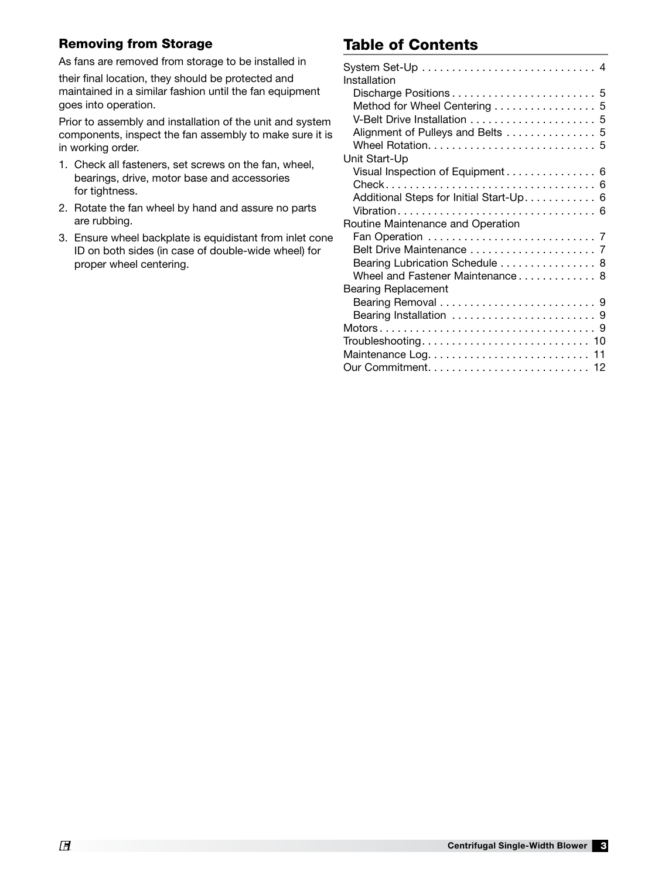#### Removing from Storage

As fans are removed from storage to be installed in

their final location, they should be protected and maintained in a similar fashion until the fan equipment goes into operation.

Prior to assembly and installation of the unit and system components, inspect the fan assembly to make sure it is in working order.

- 1. Check all fasteners, set screws on the fan, wheel, bearings, drive, motor base and accessories for tightness.
- 2. Rotate the fan wheel by hand and assure no parts are rubbing.
- 3. Ensure wheel backplate is equidistant from inlet cone ID on both sides (in case of double-wide wheel) for proper wheel centering.

# Table of Contents

| Installation                            |
|-----------------------------------------|
|                                         |
| Method for Wheel Centering 5            |
|                                         |
| Alignment of Pulleys and Belts  5       |
|                                         |
| Unit Start-Up                           |
| Visual Inspection of Equipment 6        |
|                                         |
| Additional Steps for Initial Start-Up 6 |
|                                         |
| Routine Maintenance and Operation       |
|                                         |
|                                         |
| Bearing Lubrication Schedule 8          |
| Wheel and Fastener Maintenance 8        |
| <b>Bearing Replacement</b>              |
|                                         |
|                                         |
|                                         |
|                                         |
| $Troubles hooting. 10$                  |
|                                         |
|                                         |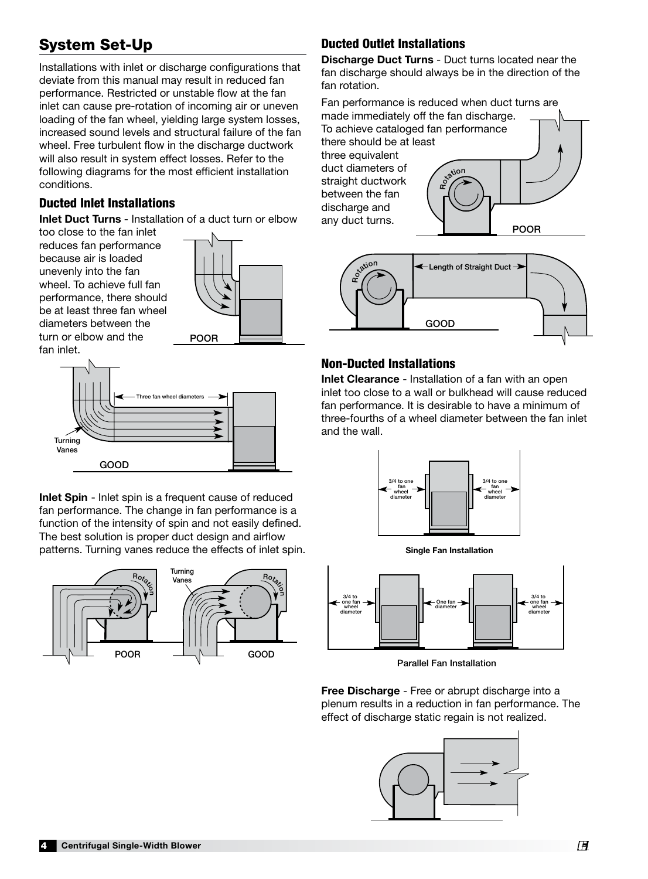# System Set-Up

Installations with inlet or discharge configurations that deviate from this manual may result in reduced fan performance. Restricted or unstable flow at the fan inlet can cause pre-rotation of incoming air or uneven loading of the fan wheel, yielding large system losses, increased sound levels and structural failure of the fan wheel. Free turbulent flow in the discharge ductwork will also result in system effect losses. Refer to the following diagrams for the most efficient installation conditions.

#### Ducted Inlet Installations

Inlet Duct Turns - Installation of a duct turn or elbow

too close to the fan inlet reduces fan performance because air is loaded unevenly into the fan wheel. To achieve full fan performance, there should be at least three fan wheel diameters between the turn or elbow and the **POOR** fan inlet.





Three fan wheel diameters Inlet Spin - Inlet spin is a frequent cause of reduced fan performance. The change in fan performance is a function of the intensity of spin and not easily defined. The best solution is proper duct design and airflow patterns. Turning vanes reduce the effects of inlet spin.



# **Ducted Outlet Installations**

Discharge Duct Turns - Duct turns located near the fan discharge should always be in the direction of the fan rotation.

Fan performance is reduced when duct turns are Fan pertormance is reduced wnen duct τι<br>made immediately off the fan discharge. To achieve cataloged fan performance there should be at least three equivalent duct diameters of straight ductwork between the fan discharge and ansenarge and<br>any duct turns. Rotion POOR GOOD  $\mathcal{S}$   $\mathcal{S}$   $\mathcal{S}$   $\mathcal{S}$   $\mathcal{S}$   $\mathcal{S}$   $\mathcal{S}$   $\mathcal{S}$   $\mathcal{S}$   $\mathcal{S}$   $\mathcal{S}$   $\mathcal{S}$   $\mathcal{S}$   $\mathcal{S}$   $\mathcal{S}$   $\mathcal{S}$   $\mathcal{S}$   $\mathcal{S}$   $\mathcal{S}$   $\mathcal{S}$   $\mathcal{S}$   $\mathcal{S}$   $\mathcal{S}$   $\mathcal{S}$   $\mathcal{$ 



# Non-Ducted Installations

Inlet Clearance - Installation of a fan with an open inlet too close to a wall or bulkhead will cause reduced fan performance. It is desirable to have a minimum of three-fourths of a wheel diameter between the fan inlet and the wall. of<br>:h<br>ete  $U$ UTULET VELOCITY







Parallel Fan Installation

Free Discharge - Free or abrupt discharge into a plenum results in a reduction in fan performance. The effect of discharge static regain is not realized.

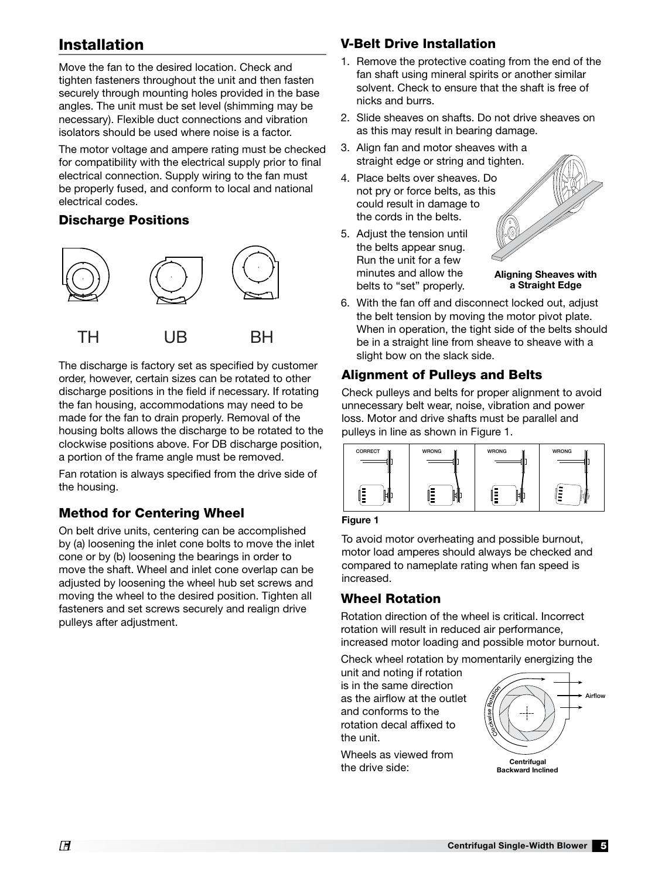# Installation

Move the fan to the desired location. Check and tighten fasteners throughout the unit and then fasten securely through mounting holes provided in the base angles. The unit must be set level (shimming may be necessary). Flexible duct connections and vibration isolators should be used where noise is a factor.

The motor voltage and ampere rating must be checked for compatibility with the electrical supply prior to final electrical connection. Supply wiring to the fan must be properly fused, and conform to local and national electrical codes.

#### Discharge Positions



The discharge is factory set as specified by customer order, however, certain sizes can be rotated to other discharge positions in the field if necessary. If rotating the fan housing, accommodations may need to be made for the fan to drain properly. Removal of the housing bolts allows the discharge to be rotated to the clockwise positions above. For DB discharge position, a portion of the frame angle must be removed.

Fan rotation is always specified from the drive side of the housing.

## Method for Centering Wheel

On belt drive units, centering can be accomplished by (a) loosening the inlet cone bolts to move the inlet cone or by (b) loosening the bearings in order to move the shaft. Wheel and inlet cone overlap can be adjusted by loosening the wheel hub set screws and moving the wheel to the desired position. Tighten all fasteners and set screws securely and realign drive pulleys after adjustment.

## V-Belt Drive Installation

- 1. Remove the protective coating from the end of the fan shaft using mineral spirits or another similar solvent. Check to ensure that the shaft is free of nicks and burrs.
- 2. Slide sheaves on shafts. Do not drive sheaves on as this may result in bearing damage.
- 3. Align fan and motor sheaves with a straight edge or string and tighten.
- 4. Place belts over sheaves. Do not pry or force belts, as this could result in damage to the cords in the belts.
- 5. Adjust the tension until the belts appear snug. Run the unit for a few minutes and allow the belts to "set" properly.



6. With the fan off and disconnect locked out, adjust the belt tension by moving the motor pivot plate. When in operation, the tight side of the belts should be in a straight line from sheave to sheave with a slight bow on the slack side.

## Alignment of Pulleys and Belts

Check pulleys and belts for proper alignment to avoid unnecessary belt wear, noise, vibration and power loss. Motor and drive shafts must be parallel and pulleys in line as shown in Figure 1.



Figure 1

To avoid motor overheating and possible burnout, motor load amperes should always be checked and compared to nameplate rating when fan speed is increased.

## Wheel Rotation

rotation will result in reduced air performance, increased motor loading and possible motor burnout. Rotation direction of the wheel is critical. Incorrect

Check wheel rotation by momentarily energizing the

unit and noting if rotation is in the same direction as the airflow at the outlet and conforms to the rotation decal affixed to the unit.

Wheels as viewed from the drive side:

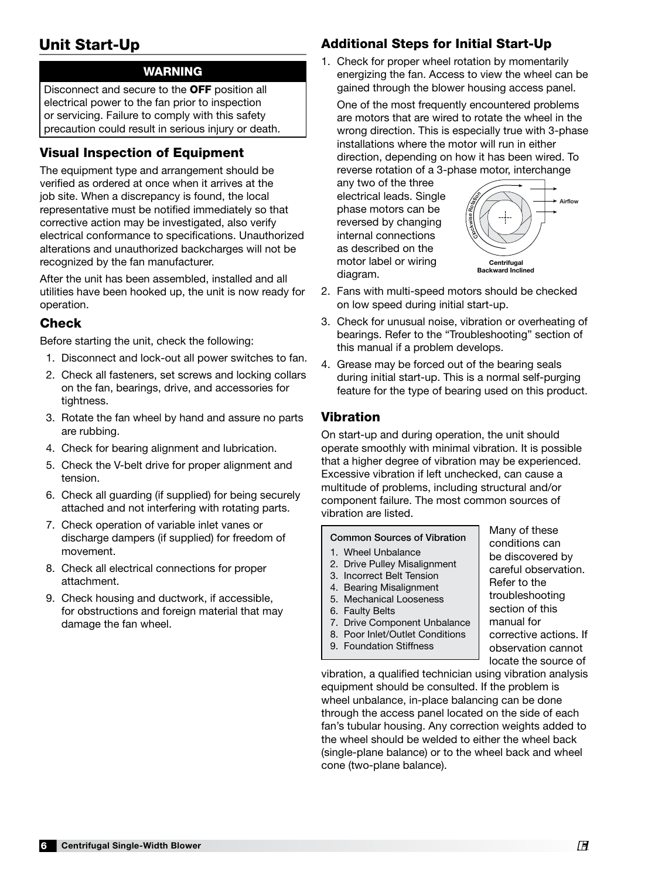# Unit Start-Up

## WARNING

Disconnect and secure to the OFF position all electrical power to the fan prior to inspection or servicing. Failure to comply with this safety precaution could result in serious injury or death.

## Visual Inspection of Equipment

The equipment type and arrangement should be verified as ordered at once when it arrives at the job site. When a discrepancy is found, the local representative must be notified immediately so that corrective action may be investigated, also verify electrical conformance to specifications. Unauthorized alterations and unauthorized backcharges will not be recognized by the fan manufacturer.

After the unit has been assembled, installed and all utilities have been hooked up, the unit is now ready for operation.

## Check

Before starting the unit, check the following:

- 1. Disconnect and lock-out all power switches to fan.
- 2. Check all fasteners, set screws and locking collars on the fan, bearings, drive, and accessories for tightness.
- 3. Rotate the fan wheel by hand and assure no parts are rubbing.
- 4. Check for bearing alignment and lubrication.
- 5. Check the V-belt drive for proper alignment and tension.
- 6. Check all guarding (if supplied) for being securely attached and not interfering with rotating parts.
- 7. Check operation of variable inlet vanes or discharge dampers (if supplied) for freedom of movement.
- 8. Check all electrical connections for proper attachment.
- 9. Check housing and ductwork, if accessible, for obstructions and foreign material that may damage the fan wheel.

# Additional Steps for Initial Start-Up

1. Check for proper wheel rotation by momentarily energizing the fan. Access to view the wheel can be gained through the blower housing access panel.

One of the most frequently encountered problems are motors that are wired to rotate the wheel in the wrong direction. This is especially true with 3-phase installations where the motor will run in either direction, depending on how it has been wired. To reverse rotation of a 3-phase motor, interchange

any two of the three electrical leads. Single phase motors can be reversed by changing internal connections as described on the motor label or wiring diagram.



Many of these conditions can be discovered by careful observation.

Refer to the troubleshooting section of this manual for

corrective actions. If observation cannot

- 2. Fans with multi-speed motors should be checked on low speed during initial start-up.  $\mathsf{S}$ iai the wheels on the scroll outline. The forward curve  $\mathsf{S}$
- 3. Check for unusual noise, vibration or overheating of bearings. Refer to the "Troubleshooting" section of this manual if a problem develops.
- 4. Grease may be forced out of the bearing seals during initial start-up. This is a normal self-purging feature for the type of bearing used on this product.

#### Vibration

On start-up and during operation, the unit should operate smoothly with minimal vibration. It is possible that a higher degree of vibration may be experienced. Excessive vibration if left unchecked, can cause a multitude of problems, including structural and/or component failure. The most common sources of vibration are listed.

#### Common Sources of Vibration

- 1. Wheel Unbalance
- 2. Drive Pulley Misalignment
- 3. Incorrect Belt Tension
- 4. Bearing Misalignment
- 5. Mechanical Looseness
- 6. Faulty Belts
- 7. Drive Component Unbalance
- 8. Poor Inlet/Outlet Conditions
- 9. Foundation Stiffness

locate the source of vibration, a qualified technician using vibration analysis equipment should be consulted. If the problem is wheel unbalance, in-place balancing can be done through the access panel located on the side of each fan's tubular housing. Any correction weights added to the wheel should be welded to either the wheel back (single-plane balance) or to the wheel back and wheel cone (two-plane balance).

6 Centrifugal Single-Width Blower ®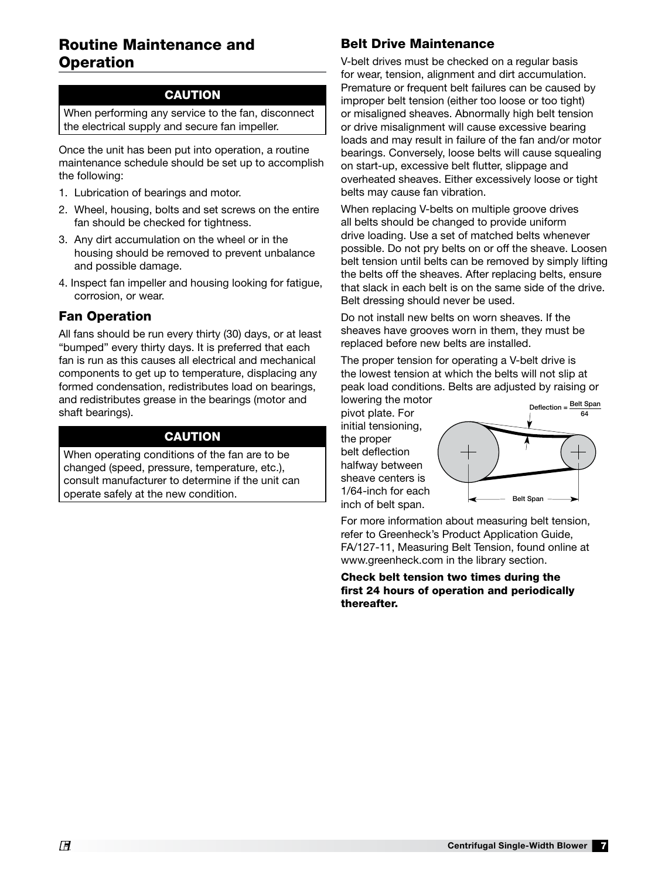## Routine Maintenance and **Operation**

#### **CAUTION**

When performing any service to the fan, disconnect the electrical supply and secure fan impeller.

Once the unit has been put into operation, a routine maintenance schedule should be set up to accomplish the following:

- 1. Lubrication of bearings and motor.
- 2. Wheel, housing, bolts and set screws on the entire fan should be checked for tightness.
- 3. Any dirt accumulation on the wheel or in the housing should be removed to prevent unbalance and possible damage.
- 4. Inspect fan impeller and housing looking for fatigue, corrosion, or wear.

#### Fan Operation

All fans should be run every thirty (30) days, or at least "bumped" every thirty days. It is preferred that each fan is run as this causes all electrical and mechanical components to get up to temperature, displacing any formed condensation, redistributes load on bearings, and redistributes grease in the bearings (motor and shaft bearings).

#### CAUTION

When operating conditions of the fan are to be changed (speed, pressure, temperature, etc.), consult manufacturer to determine if the unit can operate safely at the new condition.

## Belt Drive Maintenance

V-belt drives must be checked on a regular basis for wear, tension, alignment and dirt accumulation. Premature or frequent belt failures can be caused by improper belt tension (either too loose or too tight) or misaligned sheaves. Abnormally high belt tension or drive misalignment will cause excessive bearing loads and may result in failure of the fan and/or motor bearings. Conversely, loose belts will cause squealing on start-up, excessive belt flutter, slippage and overheated sheaves. Either excessively loose or tight belts may cause fan vibration.

When replacing V-belts on multiple groove drives all belts should be changed to provide uniform drive loading. Use a set of matched belts whenever possible. Do not pry belts on or off the sheave. Loosen belt tension until belts can be removed by simply lifting the belts off the sheaves. After replacing belts, ensure that slack in each belt is on the same side of the drive. Belt dressing should never be used.

Do not install new belts on worn sheaves. If the sheaves have grooves worn in them, they must be replaced before new belts are installed.

The proper tension for operating a V-belt drive is the lowest tension at which the belts will not slip at peak load conditions. Belts are adjusted by raising or lowering the motor

pivot plate. For initial tensioning, the proper belt deflection halfway between sheave centers is 1/64-inch for each inch of belt span.



For more information about measuring belt tension, refer to Greenheck's Product Application Guide, FA/127-11, Measuring Belt Tension, found online at www.greenheck.com in the library section.

Check belt tension two times during the first 24 hours of operation and periodically thereafter.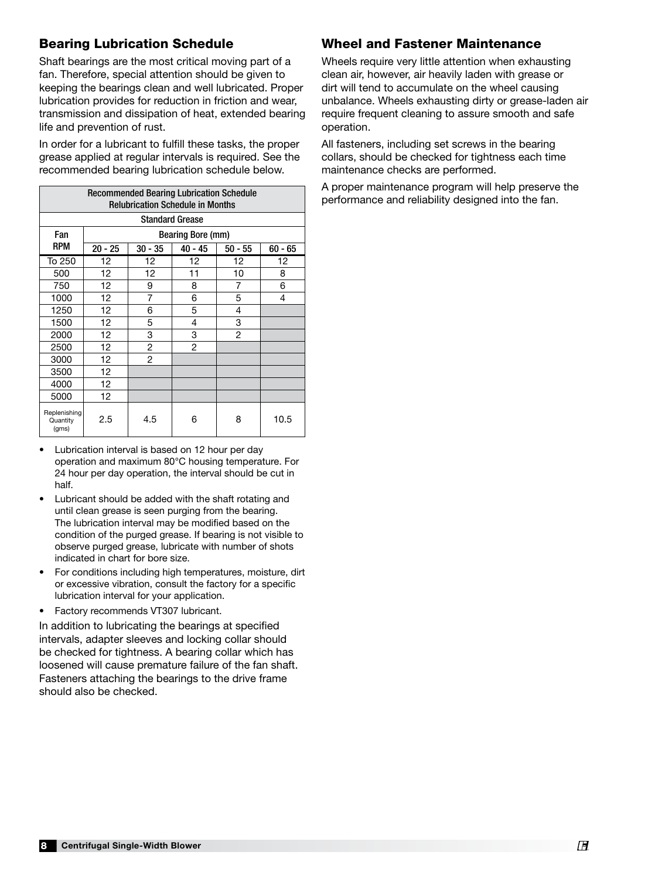## Bearing Lubrication Schedule

Shaft bearings are the most critical moving part of a fan. Therefore, special attention should be given to keeping the bearings clean and well lubricated. Proper lubrication provides for reduction in friction and wear, transmission and dissipation of heat, extended bearing life and prevention of rust.

In order for a lubricant to fulfill these tasks, the proper grease applied at regular intervals is required. See the recommended bearing lubrication schedule below.

| <b>Recommended Bearing Lubrication Schedule</b><br><b>Relubrication Schedule in Months</b> |                          |                |           |           |           |  |  |  |
|--------------------------------------------------------------------------------------------|--------------------------|----------------|-----------|-----------|-----------|--|--|--|
| <b>Standard Grease</b>                                                                     |                          |                |           |           |           |  |  |  |
| Fan                                                                                        | <b>Bearing Bore (mm)</b> |                |           |           |           |  |  |  |
| <b>RPM</b>                                                                                 | $20 - 25$                | $30 - 35$      | $40 - 45$ | $50 - 55$ | $60 - 65$ |  |  |  |
| To 250                                                                                     | 12                       | 12             | 12        | 12        | 12        |  |  |  |
| 500                                                                                        | 12                       | 12             | 11        | 10        | 8         |  |  |  |
| 750                                                                                        | 12                       | 9              | 8         | 7         | 6         |  |  |  |
| 1000                                                                                       | 12                       | $\overline{7}$ | 6         | 5         | 4         |  |  |  |
| 1250                                                                                       | 12                       | 6              | 5         | 4         |           |  |  |  |
| 1500                                                                                       | 12                       | 5              | 4         | 3         |           |  |  |  |
| 2000                                                                                       | 12                       | 3              | 3         | 2         |           |  |  |  |
| 2500                                                                                       | 12                       | 2              | 2         |           |           |  |  |  |
| 3000                                                                                       | 12 <sup>2</sup>          | $\overline{2}$ |           |           |           |  |  |  |
| 3500                                                                                       | 12                       |                |           |           |           |  |  |  |
| 4000                                                                                       | 12                       |                |           |           |           |  |  |  |
| 5000                                                                                       | 12 <sup>2</sup>          |                |           |           |           |  |  |  |
| Replenishing<br>Quantity<br>(qms)                                                          | 2.5                      | 4.5            | 6         | 8         | 10.5      |  |  |  |

- Lubrication interval is based on 12 hour per day operation and maximum 80°C housing temperature. For 24 hour per day operation, the interval should be cut in half.
- Lubricant should be added with the shaft rotating and until clean grease is seen purging from the bearing. The lubrication interval may be modified based on the condition of the purged grease. If bearing is not visible to observe purged grease, lubricate with number of shots indicated in chart for bore size.
- For conditions including high temperatures, moisture, dirt or excessive vibration, consult the factory for a specific lubrication interval for your application.
- Factory recommends VT307 lubricant.

In addition to lubricating the bearings at specified intervals, adapter sleeves and locking collar should be checked for tightness. A bearing collar which has loosened will cause premature failure of the fan shaft. Fasteners attaching the bearings to the drive frame should also be checked.

#### Wheel and Fastener Maintenance

Wheels require very little attention when exhausting clean air, however, air heavily laden with grease or dirt will tend to accumulate on the wheel causing unbalance. Wheels exhausting dirty or grease-laden air require frequent cleaning to assure smooth and safe operation.

All fasteners, including set screws in the bearing collars, should be checked for tightness each time maintenance checks are performed.

A proper maintenance program will help preserve the performance and reliability designed into the fan.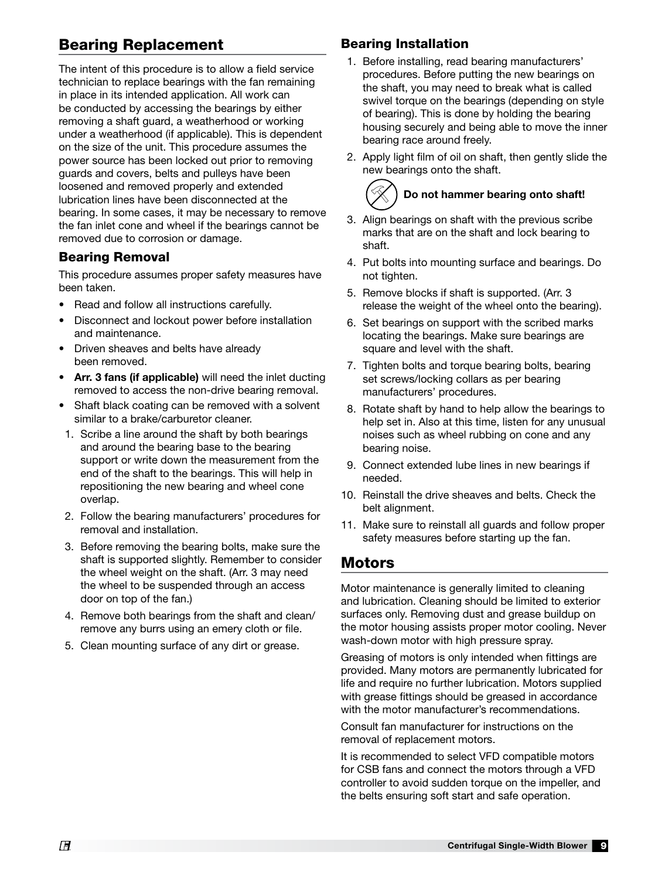# Bearing Replacement

The intent of this procedure is to allow a field service technician to replace bearings with the fan remaining in place in its intended application. All work can be conducted by accessing the bearings by either removing a shaft guard, a weatherhood or working under a weatherhood (if applicable). This is dependent on the size of the unit. This procedure assumes the power source has been locked out prior to removing guards and covers, belts and pulleys have been loosened and removed properly and extended lubrication lines have been disconnected at the bearing. In some cases, it may be necessary to remove the fan inlet cone and wheel if the bearings cannot be removed due to corrosion or damage.

#### Bearing Removal

This procedure assumes proper safety measures have been taken.

- Read and follow all instructions carefully.
- Disconnect and lockout power before installation and maintenance.
- Driven sheaves and belts have already been removed.
- Arr. 3 fans (if applicable) will need the inlet ducting removed to access the non-drive bearing removal.
- Shaft black coating can be removed with a solvent similar to a brake/carburetor cleaner.
- 1. Scribe a line around the shaft by both bearings and around the bearing base to the bearing support or write down the measurement from the end of the shaft to the bearings. This will help in repositioning the new bearing and wheel cone overlap.
- 2. Follow the bearing manufacturers' procedures for removal and installation.
- 3. Before removing the bearing bolts, make sure the shaft is supported slightly. Remember to consider the wheel weight on the shaft. (Arr. 3 may need the wheel to be suspended through an access door on top of the fan.)
- 4. Remove both bearings from the shaft and clean/ remove any burrs using an emery cloth or file.
- 5. Clean mounting surface of any dirt or grease.

#### Bearing Installation

- 1. Before installing, read bearing manufacturers' procedures. Before putting the new bearings on the shaft, you may need to break what is called swivel torque on the bearings (depending on style of bearing). This is done by holding the bearing housing securely and being able to move the inner bearing race around freely.
- 2. Apply light film of oil on shaft, then gently slide the new bearings onto the shaft.

# Do not hammer bearing onto shaft!

- 3. Align bearings on shaft with the previous scribe marks that are on the shaft and lock bearing to shaft.
- 4. Put bolts into mounting surface and bearings. Do not tighten.
- 5. Remove blocks if shaft is supported. (Arr. 3 release the weight of the wheel onto the bearing).
- 6. Set bearings on support with the scribed marks locating the bearings. Make sure bearings are square and level with the shaft.
- 7. Tighten bolts and torque bearing bolts, bearing set screws/locking collars as per bearing manufacturers' procedures.
- 8. Rotate shaft by hand to help allow the bearings to help set in. Also at this time, listen for any unusual noises such as wheel rubbing on cone and any bearing noise.
- 9. Connect extended lube lines in new bearings if needed.
- 10. Reinstall the drive sheaves and belts. Check the belt alignment.
- 11. Make sure to reinstall all guards and follow proper safety measures before starting up the fan.

## Motors

Motor maintenance is generally limited to cleaning and lubrication. Cleaning should be limited to exterior surfaces only. Removing dust and grease buildup on the motor housing assists proper motor cooling. Never wash-down motor with high pressure spray.

Greasing of motors is only intended when fittings are provided. Many motors are permanently lubricated for life and require no further lubrication. Motors supplied with grease fittings should be greased in accordance with the motor manufacturer's recommendations.

Consult fan manufacturer for instructions on the removal of replacement motors.

It is recommended to select VFD compatible motors for CSB fans and connect the motors through a VFD controller to avoid sudden torque on the impeller, and the belts ensuring soft start and safe operation.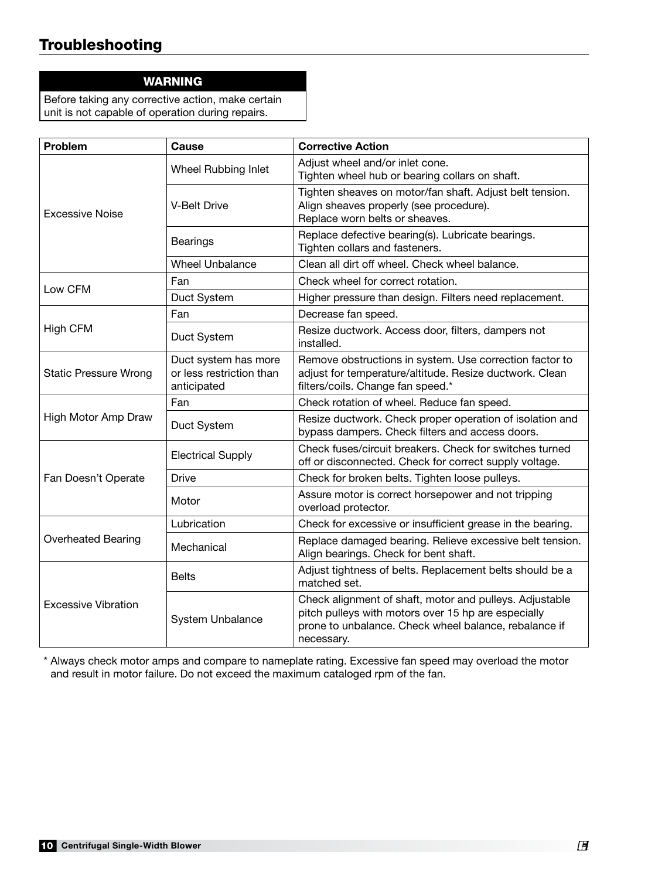# Troubleshooting

#### WARNING

Before taking any corrective action, make certain unit is not capable of operation during repairs.

| Problem                      | Cause                                                           | <b>Corrective Action</b>                                                                                                                                                              |  |  |
|------------------------------|-----------------------------------------------------------------|---------------------------------------------------------------------------------------------------------------------------------------------------------------------------------------|--|--|
|                              | Wheel Rubbing Inlet                                             | Adjust wheel and/or inlet cone.<br>Tighten wheel hub or bearing collars on shaft.                                                                                                     |  |  |
| <b>Excessive Noise</b>       | <b>V-Belt Drive</b>                                             | Tighten sheaves on motor/fan shaft. Adjust belt tension.<br>Align sheaves properly (see procedure).<br>Replace worn belts or sheaves.                                                 |  |  |
|                              | <b>Bearings</b>                                                 | Replace defective bearing(s). Lubricate bearings.<br>Tighten collars and fasteners.                                                                                                   |  |  |
|                              | <b>Wheel Unbalance</b>                                          | Clean all dirt off wheel. Check wheel balance.                                                                                                                                        |  |  |
| Low CFM                      | Fan                                                             | Check wheel for correct rotation.                                                                                                                                                     |  |  |
|                              | Duct System                                                     | Higher pressure than design. Filters need replacement.                                                                                                                                |  |  |
|                              | Fan                                                             | Decrease fan speed.                                                                                                                                                                   |  |  |
| <b>High CFM</b>              | Duct System                                                     | Resize ductwork. Access door, filters, dampers not<br>installed.                                                                                                                      |  |  |
| <b>Static Pressure Wrong</b> | Duct system has more<br>or less restriction than<br>anticipated | Remove obstructions in system. Use correction factor to<br>adjust for temperature/altitude. Resize ductwork. Clean<br>filters/coils. Change fan speed.*                               |  |  |
|                              | Fan                                                             | Check rotation of wheel. Reduce fan speed.                                                                                                                                            |  |  |
| High Motor Amp Draw          | Duct System                                                     | Resize ductwork. Check proper operation of isolation and<br>bypass dampers. Check filters and access doors.                                                                           |  |  |
|                              | <b>Electrical Supply</b>                                        | Check fuses/circuit breakers. Check for switches turned<br>off or disconnected. Check for correct supply voltage.                                                                     |  |  |
| Fan Doesn't Operate          | <b>Drive</b>                                                    | Check for broken belts. Tighten loose pulleys.                                                                                                                                        |  |  |
|                              | Motor                                                           | Assure motor is correct horsepower and not tripping<br>overload protector.                                                                                                            |  |  |
|                              | Lubrication                                                     | Check for excessive or insufficient grease in the bearing.                                                                                                                            |  |  |
| <b>Overheated Bearing</b>    | Mechanical                                                      | Replace damaged bearing. Relieve excessive belt tension.<br>Align bearings. Check for bent shaft.                                                                                     |  |  |
|                              | <b>Belts</b>                                                    | Adjust tightness of belts. Replacement belts should be a<br>matched set.                                                                                                              |  |  |
| <b>Excessive Vibration</b>   | System Unbalance                                                | Check alignment of shaft, motor and pulleys. Adjustable<br>pitch pulleys with motors over 15 hp are especially<br>prone to unbalance. Check wheel balance, rebalance if<br>necessary. |  |  |

\* Always check motor amps and compare to nameplate rating. Excessive fan speed may overload the motor and result in motor failure. Do not exceed the maximum cataloged rpm of the fan.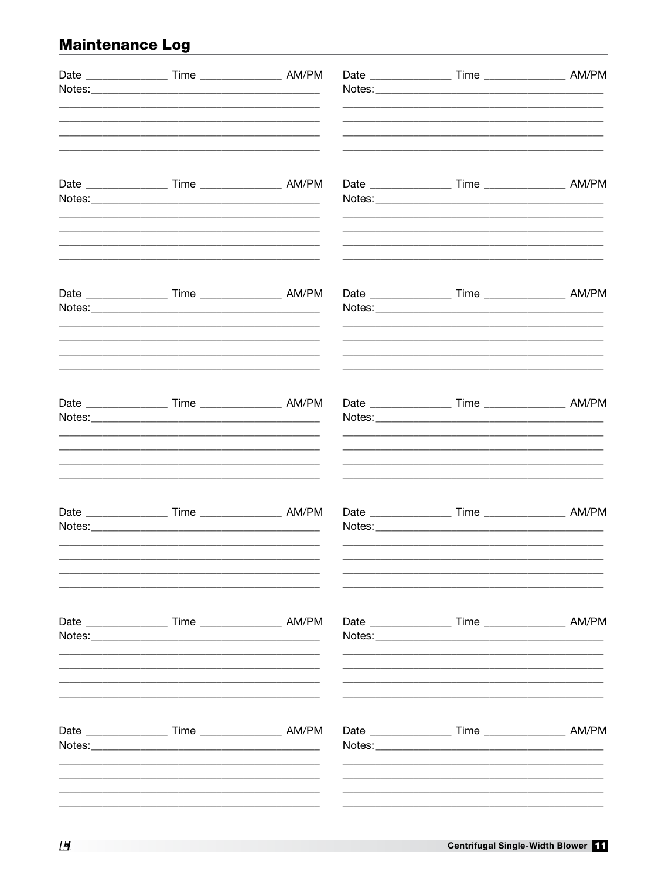# **Maintenance Log**

| Date _____________________ Time _______________________ AM/PM                                                                                                                         |  |                                                                    |  |
|---------------------------------------------------------------------------------------------------------------------------------------------------------------------------------------|--|--------------------------------------------------------------------|--|
|                                                                                                                                                                                       |  |                                                                    |  |
| Date _____________________ Time _______________________ AM/PM                                                                                                                         |  |                                                                    |  |
| Date _______________________ Time ________________________ AM/PM                                                                                                                      |  |                                                                    |  |
| <u> 1989 - John Stein, mars and de final de la provincia de la provincia de la provincia de la provincia de la p</u><br>Date _____________________ Time _______________________ AM/PM |  |                                                                    |  |
| Date _______________________ Time ________________________ AM/PM                                                                                                                      |  | Date ________________________ Time _________________________ AM/PM |  |
|                                                                                                                                                                                       |  | Date ________________________ Time _________________________ AM/PM |  |
|                                                                                                                                                                                       |  |                                                                    |  |